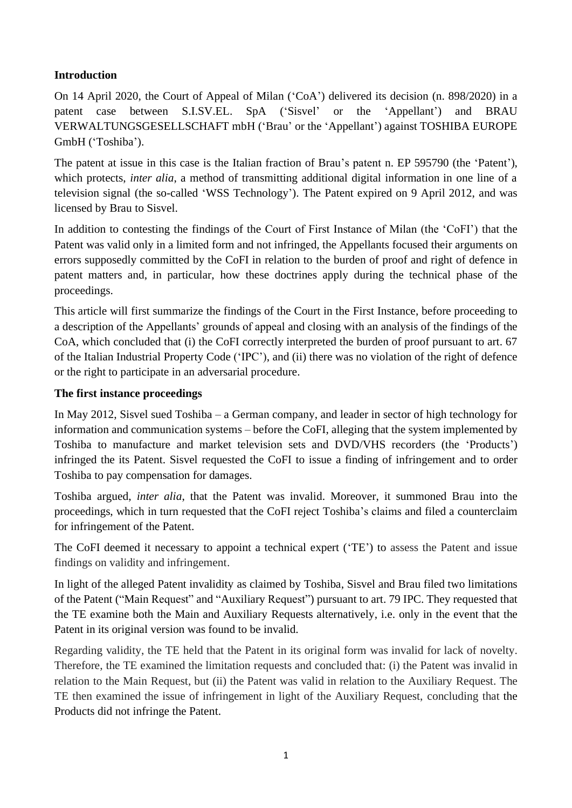## **Introduction**

On 14 April 2020, the Court of Appeal of Milan ('CoA') delivered its decision (n. 898/2020) in a patent case between S.I.SV.EL. SpA ('Sisvel' or the 'Appellant') and BRAU VERWALTUNGSGESELLSCHAFT mbH ('Brau' or the 'Appellant') against TOSHIBA EUROPE GmbH ('Toshiba').

The patent at issue in this case is the Italian fraction of Brau's patent n. EP 595790 (the 'Patent'), which protects, *inter alia*, a method of transmitting additional digital information in one line of a television signal (the so-called 'WSS Technology'). The Patent expired on 9 April 2012, and was licensed by Brau to Sisvel.

In addition to contesting the findings of the Court of First Instance of Milan (the 'CoFI') that the Patent was valid only in a limited form and not infringed, the Appellants focused their arguments on errors supposedly committed by the CoFI in relation to the burden of proof and right of defence in patent matters and, in particular, how these doctrines apply during the technical phase of the proceedings.

This article will first summarize the findings of the Court in the First Instance, before proceeding to a description of the Appellants' grounds of appeal and closing with an analysis of the findings of the CoA, which concluded that (i) the CoFI correctly interpreted the burden of proof pursuant to art. 67 of the Italian Industrial Property Code ('IPC'), and (ii) there was no violation of the right of defence or the right to participate in an adversarial procedure.

## **The first instance proceedings**

In May 2012, Sisvel sued Toshiba – a German company, and leader in sector of high technology for information and communication systems – before the CoFI, alleging that the system implemented by Toshiba to manufacture and market television sets and DVD/VHS recorders (the 'Products') infringed the its Patent. Sisvel requested the CoFI to issue a finding of infringement and to order Toshiba to pay compensation for damages.

Toshiba argued, *inter alia*, that the Patent was invalid. Moreover, it summoned Brau into the proceedings, which in turn requested that the CoFI reject Toshiba's claims and filed a counterclaim for infringement of the Patent.

The CoFI deemed it necessary to appoint a technical expert ('TE') to assess the Patent and issue findings on validity and infringement.

In light of the alleged Patent invalidity as claimed by Toshiba, Sisvel and Brau filed two limitations of the Patent ("Main Request" and "Auxiliary Request") pursuant to art. 79 IPC. They requested that the TE examine both the Main and Auxiliary Requests alternatively, i.e. only in the event that the Patent in its original version was found to be invalid.

Regarding validity, the TE held that the Patent in its original form was invalid for lack of novelty. Therefore, the TE examined the limitation requests and concluded that: (i) the Patent was invalid in relation to the Main Request, but (ii) the Patent was valid in relation to the Auxiliary Request. The TE then examined the issue of infringement in light of the Auxiliary Request, concluding that the Products did not infringe the Patent.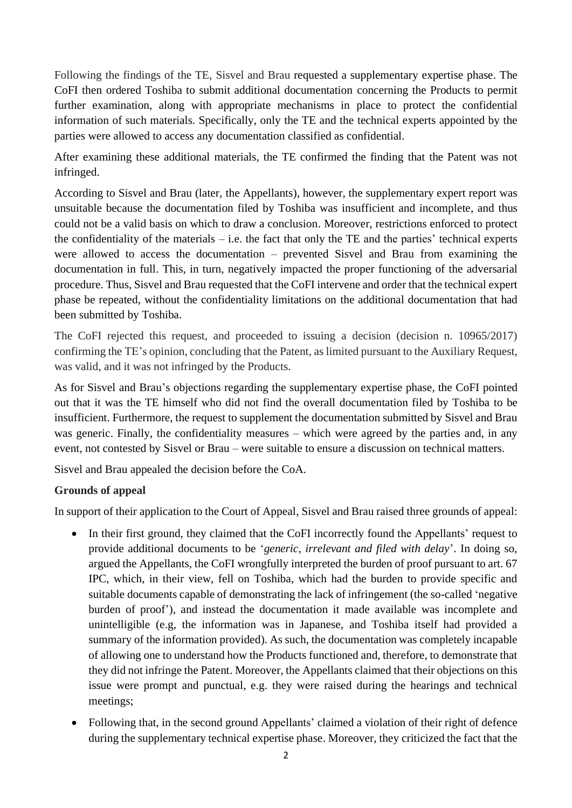Following the findings of the TE, Sisvel and Brau requested a supplementary expertise phase. The CoFI then ordered Toshiba to submit additional documentation concerning the Products to permit further examination, along with appropriate mechanisms in place to protect the confidential information of such materials. Specifically, only the TE and the technical experts appointed by the parties were allowed to access any documentation classified as confidential.

After examining these additional materials, the TE confirmed the finding that the Patent was not infringed.

According to Sisvel and Brau (later, the Appellants), however, the supplementary expert report was unsuitable because the documentation filed by Toshiba was insufficient and incomplete, and thus could not be a valid basis on which to draw a conclusion. Moreover, restrictions enforced to protect the confidentiality of the materials  $-$  i.e. the fact that only the TE and the parties' technical experts were allowed to access the documentation – prevented Sisvel and Brau from examining the documentation in full. This, in turn, negatively impacted the proper functioning of the adversarial procedure. Thus, Sisvel and Brau requested that the CoFI intervene and order that the technical expert phase be repeated, without the confidentiality limitations on the additional documentation that had been submitted by Toshiba.

The CoFI rejected this request, and proceeded to issuing a decision (decision n. 10965/2017) confirming the TE's opinion, concluding that the Patent, as limited pursuant to the Auxiliary Request, was valid, and it was not infringed by the Products.

As for Sisvel and Brau's objections regarding the supplementary expertise phase, the CoFI pointed out that it was the TE himself who did not find the overall documentation filed by Toshiba to be insufficient. Furthermore, the request to supplement the documentation submitted by Sisvel and Brau was generic. Finally, the confidentiality measures – which were agreed by the parties and, in any event, not contested by Sisvel or Brau – were suitable to ensure a discussion on technical matters.

Sisvel and Brau appealed the decision before the CoA.

## **Grounds of appeal**

In support of their application to the Court of Appeal, Sisvel and Brau raised three grounds of appeal:

- In their first ground, they claimed that the CoFI incorrectly found the Appellants' request to provide additional documents to be '*generic, irrelevant and filed with delay*'. In doing so, argued the Appellants, the CoFI wrongfully interpreted the burden of proof pursuant to art. 67 IPC, which, in their view, fell on Toshiba, which had the burden to provide specific and suitable documents capable of demonstrating the lack of infringement (the so-called 'negative burden of proof'), and instead the documentation it made available was incomplete and unintelligible (e.g, the information was in Japanese, and Toshiba itself had provided a summary of the information provided). As such, the documentation was completely incapable of allowing one to understand how the Products functioned and, therefore, to demonstrate that they did not infringe the Patent. Moreover, the Appellants claimed that their objections on this issue were prompt and punctual, e.g. they were raised during the hearings and technical meetings;
- Following that, in the second ground Appellants' claimed a violation of their right of defence during the supplementary technical expertise phase. Moreover, they criticized the fact that the